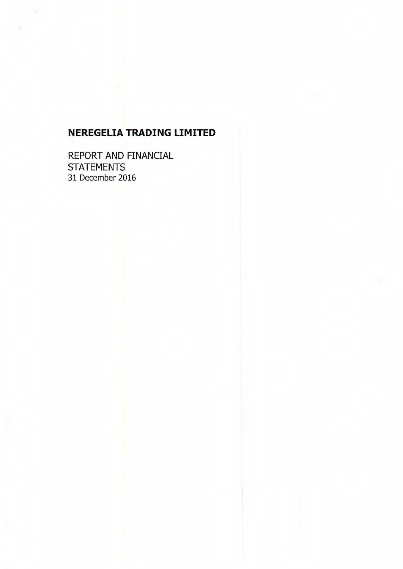REPORT AND FINANCIAL **STATEMENTS** 31 December 2016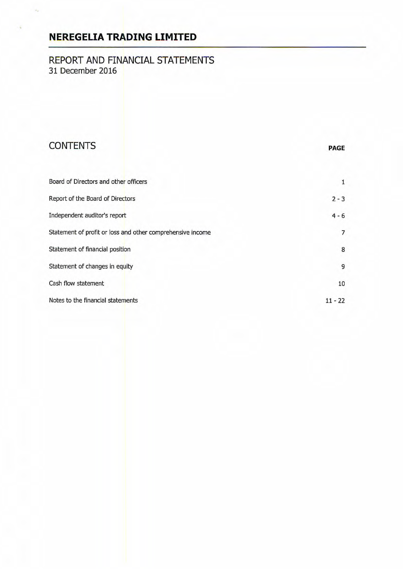## REPORT AND FINANCIAL STATEMENTS 31 December 2016

# **CONTENTS**

|  | PAGE |  |  |
|--|------|--|--|
|  |      |  |  |

| Board of Directors and other officers                      |           |
|------------------------------------------------------------|-----------|
| Report of the Board of Directors                           | $2 - 3$   |
| Independent auditor's report                               | $4 - 6$   |
| Statement of profit or loss and other comprehensive income | 7         |
| Statement of financial position                            | 8         |
| Statement of changes in equity                             | 9         |
| Cash flow statement                                        | 10        |
| Notes to the financial statements                          | $11 - 22$ |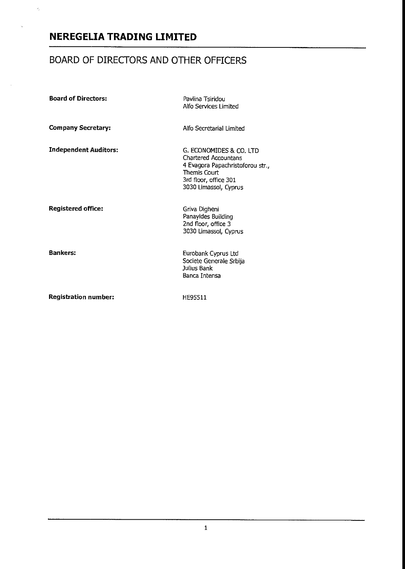$\gamma_j$ 

# BOARD OF DIRECTORS AND OTHER OFFICERS

| <b>Board of Directors:</b>   | Pavlina Tsiridou<br>Alfo Services Limited                                                                                                                     |
|------------------------------|---------------------------------------------------------------------------------------------------------------------------------------------------------------|
| <b>Company Secretary:</b>    | Alfo Secretarial Limited                                                                                                                                      |
| <b>Independent Auditors:</b> | G. ECONOMIDES & CO. LTD.<br><b>Chartered Accountans</b><br>4 Evagora Papachristoforou str.,<br>Themis Court<br>3rd floor, office 301<br>3030 Limassol, Cyprus |
| <b>Registered office:</b>    | Griva Digheni<br>Panayides Building<br>2nd floor, office 3<br>3030 Limassol, Cyprus                                                                           |
| <b>Bankers:</b>              | Eurobank Cyprus Ltd<br>Societe Generale Srbija<br>Julius Bank<br>Banca Intensa                                                                                |
| <b>Registration number:</b>  | HE95511                                                                                                                                                       |

 $\mathbf{1}$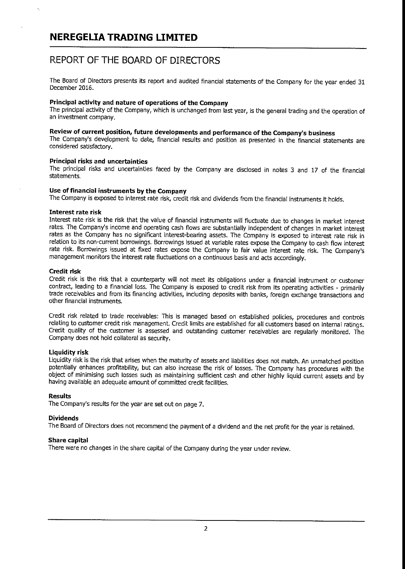## REPORT OF THE BOARD OF DIRECTORS

The Board of Directors presents its report and audited financial statements of the Company for the year ended 31 December 2016.

#### Principal activity and nature of operations of the Company

The principal activity of the Company, which is unchanged from last year, is the general trading and the operation of an investment company.

#### Review of current position, future developments and performance of the Company's business

The Company's development to date, financial results and position as presented in the financial statements are considered satisfactory.

#### Principal risks and uncertainties

The principal risks and uncertainties faced by the Company are disclosed in notes 3 and 17 of the financial statements.

### Use of financial instruments by the Company

The Company is exposed to interest rate risk, credit risk and dividends from the financial instruments it holds.

#### Interest rate risk

Interest rate risk is the risk that the value of financial instruments will fluctuate due to changes in market interest rates. The Company's income and operating cash flows are substantially independent of changes in market interest rates as the Company has no significant interest-bearing assets. The Company is exposed to interest rate risk in relation to its non-current borrowings. Borrowings issued at variable rates expose the Company to cash flow interest rate risk. Borrowings issued at fixed rates expose the Company to fair value interest rate risk. The Company's management monitors the interest rate fluctuations on a continuous basis and acts accordingly.

#### Credit risk

Credit risk is the risk that a counterparty will not meet its obligations under a financial instrument or customer contract, leading to a financial loss. The Company is exposed to credit risk from its operating activities - primarily trade receivables and from its financing activities, including deposits with banks, foreign exchange transactions and other financial instruments.

Credit risk related to trade receivables: This is managed based on established policies, procedures and controls relating to customer credit risk management. Credit limits are established for all customers based on internal ratings. Credit quality of the customer is assessed and outstanding customer receivables are regularly monitored. The Company does not hold collateral as security.

#### Liquidity risk

Liquidity risk is the risk that arises when the maturity of assets and liabilities does not match. An unmatched position potentially enhances profitability, but can also increase the risk of losses. The Company has procedures with the object of minimising such losses such as maintaining sufficient cash and other highly liquid current assets and by having available an adequate amount of committed credit facilities.

#### Results

The Company's results for the year are set out on page 7.

#### Dividends

The Board of Directors does not recommend the payment of a dividend and the net profit for the year is retained.

#### Share capital

There were no changes in the share capital of the Company during the year under review.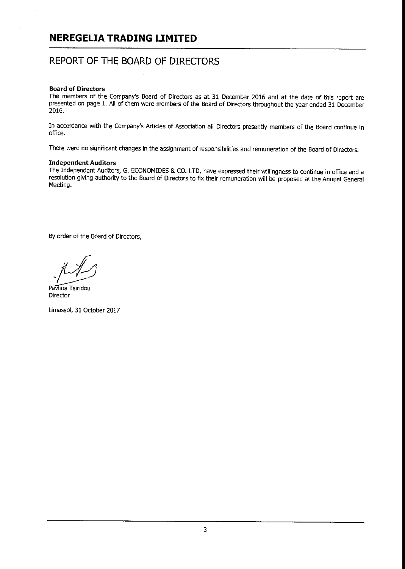## REPORT OF THE BOARD OF DIRECTORS

#### Board of Directors

ż,

The members of the Company's Board of Directors as at 31 December 2016 and at the date of this report are presented on page 1. All of them were members of the Board of Directors throughout the year ended 31 December 2016.

In accordance with the Company's Articles of Association all Directors presently members of the Board continue in office.

There were no significant changes in the assignment of responsibilities and remuneration of the Board of Directors.

#### Independent Auditors

The Independent Auditors, G. ECONOMIDES & CO. LTD, have expressed their willingness to continue in office and a resolution giving authority to the Board of Directors to fix their remuneration will be proposed at the Annual General Meeting.

By order of the Board of Directors,

Pavlina Tsiridou Director

Limassol, 31 October 2017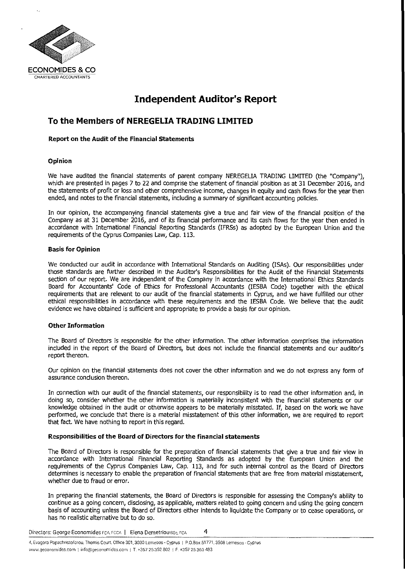

## **Independent Auditor's Report**

### **To the Members of NEREGELIA TRADING LIMITED**

#### Report on the Audit of the Financial Statements

#### Opinion

We have audited the financial statements of parent company NEREGELLA TRADING LIMITED (the 'Company'), which are presented in pages 7 to 22 and comprise the statement of financial position as at 31 December 2016, and the statements of profit or loss and other comprehensive income, changes in equity and cash flows for the year then ended, and notes to the financial statements, including a summary of significant accounting policies.

In our opinion, the accompanying financial statements give a true and fair view of the financial position of the Company as at 31 December 2016, and of its financial performance and its cash flows for the year then ended in accordance with International Financial Reporting Standards (IFRS5) as adopted by the European Union and the requirements of the Cyprus Companies Law, Cap. 113.

#### Basis for Opinion

We conducted our audit in accordance with International Standards on Auditing (ISAs). Our responsibilities under those standards are further described in the Auditor's Responsibilities for the Audit of the Financial Statements section of our report. We are independent of the Company in accordance with the International Ethics Standards Board for Accountants' Code of Ethics for Professional Accountants (IESBA Code) together with the ethical requirements that are relevant to our audit of the financial statements in Cyprus, and we have fulfilled our other ethical responsibilities in accordance with these requirements and the IESBA Code. We believe that the audit evidence we have obtained is sufficient and appropriate to provide a basis for our opinion.

#### Other Information

The Board of Directors is responsible for the other information. The other information comprises the information included in the report of the Board of Directors, but does not include the financial statements and our auditor's report thereon.

Our opinion on the financial statements does not cover the other information and we do not express any form of assurance conclusion thereon.

In connection with our audit of the financial statements, our responsibility is to read the other information and, in doing so, consider whether the other information is materially inconsistent with the financial statements or our knowledge obtained in the audit or otherwise appears to be materially misstated. If, based on the work we have performed, we conclude that there is a material misstatement of this other information, we are required to report that fact. We have nothing to report in this regard.

#### Responsibilities of the Board of Directors for the financial statements

The Board of Directors is responsible for the preparation of financial statements that give a true and fair view in accordance with International Financial Reporting Standards as adopted by the European Union and the requirements of the Cyprus Companies Law, Cap. 113, and for such internal control as the Board of Directors determines is necessary to enable the preparation of financial statements that are free from material misstatement, whether due to fraud or error.

In preparing the financial statements, the Board of Directors is responsible for assessing the Company's ability to continue as a going concern, disclosing, as applicable, matters related to going concern and using the going concern basis of accounting unless the Board of Directors either intends to liquidate the Company or to cease operations, or has no realistic alternative but to do so.

Directors: George Economides rea, reca. | Elena Demetriou BSc, rea 4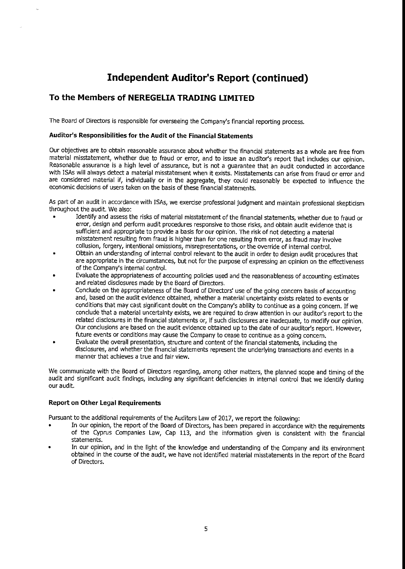# **Independent Auditor's Report (continued)**

### To the Members of NEREGELIA TRADING LIMITED

The Board of Directors is responsible for overseeing the Company's financial reporting process.

#### Auditor's Responsibilities for the Audit of the Financial Statements

Our objectives are to obtain reasonable assurance about whether the financial statements as a whole are free from material misstatement, whether due to fraud or error, and to issue an auditor's report that includes our opinion. Reasonable assurance is a high level of assurance, but is not a guarantee that an audit conducted in accordance with ISAs will always detect a material misstatement when it exists. Misstatements can arise from fraud or error and are considered material if, individually or in the aggregate, they could reasonably be expected to influence the economic decisions of users taken on the basis of these financial statements.

As part of an audit in accordance with ISAs, we exercise professional judgment and maintain professional skepticism throughout the audit. We also:

- Identify and assess the risks of material misstatement of the financial statements, whether due to fraud or error, design and perform audit procedures responsive to those risks, and obtain audit evidence that is sufficient and appropriate to provide a basis for our opinion. The risk of not detecting a material misstatement resulting from fraud is higher than for one resulting from error, as fraud may involve collusion, forgery, intentional omissions, misrepresentations, or the override of internal control.
- Obtain an understanding of internal control relevant to the audit in order to design audit procedures that are appropriate in the circumstances, but not for the purpose of expressing an opinion on the effectiveness of the Company's internal control.
- Evaluate the appropriateness of accounting policies used and the reasonableness of accounting estimates and related disclosures made by the Board of Directors.
- Conclude on the appropriateness of the Board of Directors' use of the going concern basis of accounting and, based on the audit evidence obtained, whether a material uncertainty exists related to events or conditions that may cast significant doubt on the Company's ability to continue as a going concern. If we conclude that a material uncertainty exists, we are required to draw attention in our auditor's report to the related disclosures in the financial statements or, if such disclosures are inadequate, to modify our opinion. Our conclusions are based on the audit evidence obtained up to the date of our auditor's report. However, future events or conditions may cause the Company to cease to continue as a going concern.
- Evaluate the overall presentation, structure and content of the financial statements, including the disclosures, and whether the financial statements represent the underlying transactions and events in a manner that achieves a true and fair view.

We communicate with the Board of Directors regarding, among other matters, the planned scope and timing of the audit and significant audit findings, including any significant deficiencies in internal control that we identify during our audit.

#### Report on Other Legal Requirements

Pursuant to the additional requirements of the Auditors Law of 2017, we report the following:

- In our opinion, the report of the Board of Directors, has been prepared in accordance with the requirements of the Cyprus Companies Law, Cap 113, and the information given is consistent with the financial statements.
- In our opinion, and in the light of the knowledge and understanding of the Company and its environment obtained in the course of the audit, we have not identified material misstatements in the report of the Board of Directors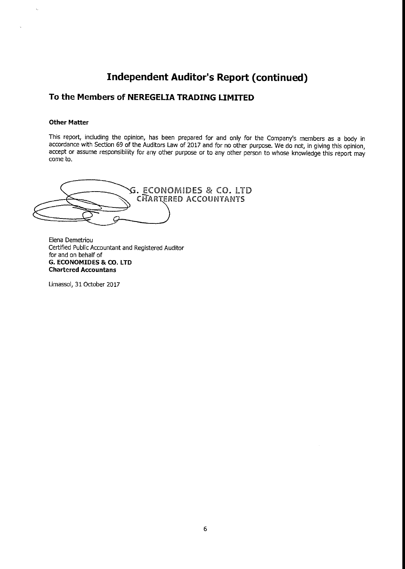## **Independent Auditor's Report (continued)**

### To the Members of NEREGELIA TRADING LIMITED

#### Other Matter

 $\mathcal{L}$ 

This report, including the opinion, has been prepared for and only for the Company's members as a body in accordance with Section 69 of the Auditors Law of 2017 and for no other purpose. We do not, in giving this opinion, accept or assume responsibility for any other purpose or to any other person to whose knowledge this report may come to.

• ECONOMIDE5 & CO. LTD CHARTERED ACCOUNTANTS C

Elena Demetriou Certified Public Accountant and Registered Auditor for and on behalf of G. ECONOMIDES & CO. LTD Chartered Accountans

Limassol, 31 October 2017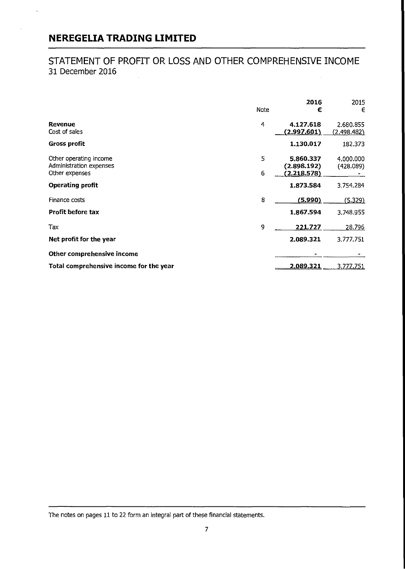k.

## STATEMENT OF PROFIT OR LOSS AND OTHER COMPREHENSIVE INCOME 31 December 2016

|                                                                     | Note   | 2016<br>€                               | 2015<br>€                |
|---------------------------------------------------------------------|--------|-----------------------------------------|--------------------------|
| Revenue<br>Cost of sales                                            | 4      | 4.127.618<br>(2.997.601)                | 2.680.855<br>(2.498.482) |
| <b>Gross profit</b>                                                 |        | 1.130.017                               | 182.373                  |
| Other operating income<br>Administration expenses<br>Other expenses | 5<br>6 | 5.860.337<br>(2.898.192)<br>(2.218.578) | 4.000.000<br>(428.089)   |
| <b>Operating profit</b>                                             |        | 1.873.584                               | 3,754.284                |
| Finance costs                                                       | 8      | (5.990)                                 | (5.329)                  |
| <b>Profit before tax</b>                                            |        | 1.867.594                               | 3,748.955                |
| Tax                                                                 | 9      | 221.727                                 | 28.796                   |
| Net profit for the year                                             |        | 2.089.321                               | 3.777.751                |
| Other comprehensive income                                          |        |                                         |                          |
| Total comprehensive income for the year                             |        | 2.089.321                               | 3.777.751                |

The notes on pages 11 to 22 form an integral part of these financial statements.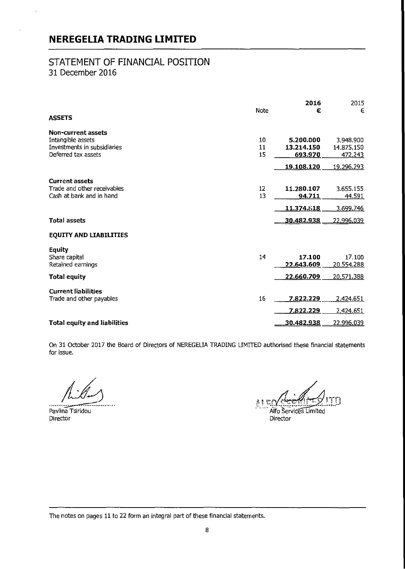i.

### STATEMENT OF FINANCIAL POSITION 31 December 2016

|                                                                                                      | Note           | 2016<br>€                          | 2015<br>€                          |
|------------------------------------------------------------------------------------------------------|----------------|------------------------------------|------------------------------------|
| <b>ASSETS</b>                                                                                        |                |                                    |                                    |
| <b>Non-current assets</b><br>Intangible assets<br>Investments in subsidiaries<br>Deferred tax assets | 10<br>11<br>15 | 5.200.000<br>13.214.150<br>693.970 | 3.948.900<br>14.875.150<br>472.243 |
|                                                                                                      |                | 19.108.120                         | 19.296.293                         |
| <b>Current assets</b><br>Trade and other receivables<br>Cash at bank and in hand                     | 12<br>13       | 11.280.107<br>94.711               | 3.655.155<br>44.591                |
|                                                                                                      |                | 11.374.818                         | 3.69 <u>9.746</u>                  |
| <b>Total assets</b>                                                                                  |                | 30.482.938                         | <u>22.996.039</u>                  |
| <b>EQUITY AND LIABILITIES</b>                                                                        |                |                                    |                                    |
| Equity<br>Share capital<br>Retained earnings                                                         | 14             | 17.100<br>22,643.609               | 17.100<br>20.554.288               |
| <b>Total equity</b>                                                                                  |                | 22.660.709                         | 20,571,388                         |
| <b>Current liabilities</b><br>Trade and other payables                                               | 16             | 7.822.229<br>7,822.229             | 2.424.651<br>2.424.651             |
| <b>Total equity and liabilities</b>                                                                  |                | 30.482.938                         | 22.996.039                         |

On 31 October 2017 the Board of Directors of NEREGELIA TRADING LIMITED authorised these financial statements for issue.

Pavlina Tsiridou Director

 $\mathcal{B}_{\text{t}}$ بھی بیر nte Alfo Services Limited Director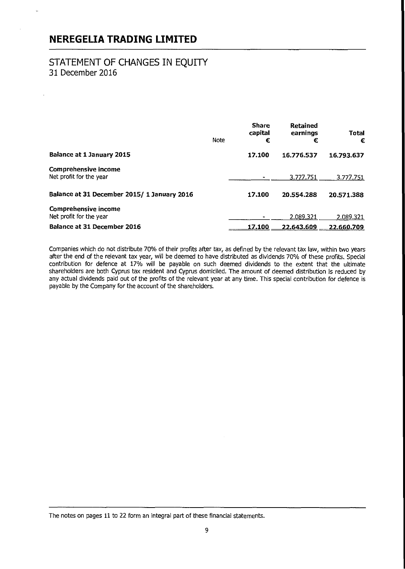### STATEMENT OF CHANGES IN EQUITY 31 December 2016

|                                                        | Note | <b>Share</b><br>capital<br>€ | Retained<br>earnings<br>€ | Total<br>€ |
|--------------------------------------------------------|------|------------------------------|---------------------------|------------|
| <b>Balance at 1 January 2015</b>                       |      | 17.100                       | 16.776.537                | 16.793.637 |
| <b>Comprehensive income</b><br>Net profit for the year |      |                              | 3.777.751                 | 3.777.751  |
| Balance at 31 December 2015/ 1 January 2016            |      | 17.100                       | 20.554.288                | 20.571.388 |
| <b>Comprehensive income</b><br>Net profit for the year |      |                              | 2.089.321                 | 2.089.321  |
| <b>Balance at 31 December 2016</b>                     |      | 17.100                       | 22.643.609                | 22.660.709 |

Companies which do not distribute 70% of their profits after tax, as defined by the relevant tax law, within two years after the end of the relevant tax year, will be deemed to have distributed as dividends 70°/s of these profits. Special contribution for defence at 17% will be payable on such deemed dividends to the extent that the ultimate shareholders are both Cyprus tax resident and Cyprus domiciled. The amount of deemed distribution is reduced by any actual dividends paid out of the profits of the relevant year at any time. This special contribution for defence is payable by the company for the account of the shareholders.

The notes on pages 11 to 22 form an integral part of these financial statements.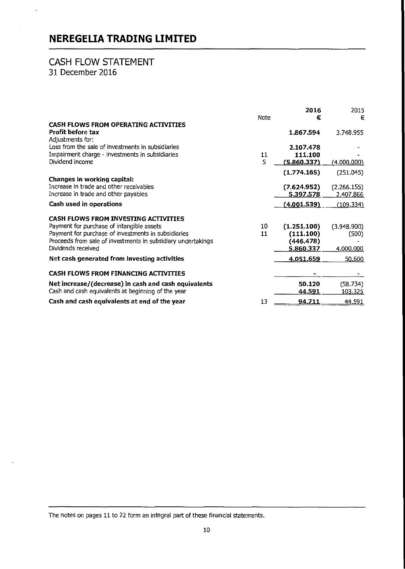### CASH FLOW STATEMENT 31 December 2016

l,

|                                                                                                                                                                                                                                       | Note     | 2016<br>€                                          | 2015<br>€                         |
|---------------------------------------------------------------------------------------------------------------------------------------------------------------------------------------------------------------------------------------|----------|----------------------------------------------------|-----------------------------------|
| <b>CASH FLOWS FROM OPERATING ACTIVITIES</b>                                                                                                                                                                                           |          |                                                    |                                   |
| <b>Profit before tax</b><br>Adjustments for:                                                                                                                                                                                          |          | 1.867.594                                          | 3.748.955                         |
| Loss from the sale of investments in subsidiaries                                                                                                                                                                                     |          | 2.107.478                                          |                                   |
| Impairment charge - investments in subsidiaries                                                                                                                                                                                       | 11       | 111.100                                            |                                   |
| Dividend income                                                                                                                                                                                                                       | 5        | (5.860,337)                                        | (4.000.000)                       |
|                                                                                                                                                                                                                                       |          | (1.774.165)                                        | (251.045)                         |
| Changes in working capital:                                                                                                                                                                                                           |          |                                                    |                                   |
| Increase in trade and other receivables                                                                                                                                                                                               |          | (7.624.952)                                        | (2.266.155)                       |
| Increase in trade and other payables                                                                                                                                                                                                  |          | 5.397.578                                          | 2.407.866                         |
| Cash used in operations                                                                                                                                                                                                               |          | (4.001.539)                                        | (109.334)                         |
| <b>CASH FLOWS FROM INVESTING ACTIVITIES</b><br>Payment for purchase of intangible assets<br>Payment for purchase of investments in subsidiaries<br>Proceeds from sale of investments in subsidiary undertakings<br>Dividends received | 10<br>11 | (1.251.100)<br>(111.100)<br>(446.478)<br>5.860.337 | (3.948.900)<br>(500)<br>4.000.000 |
| Net cash generated from investing activities                                                                                                                                                                                          |          | 4.051.659                                          | 50.600                            |
| <b>CASH FLOWS FROM FINANCING ACTIVITIES</b>                                                                                                                                                                                           |          |                                                    |                                   |
| Net increase/(decrease) in cash and cash equivalents<br>Cash and cash equivalents at beginning of the year                                                                                                                            |          | 50.120<br><u>44.591</u>                            | (58.734)<br><u> 103.325 </u>      |
| Cash and cash equivalents at end of the year                                                                                                                                                                                          | 13       | 94.711                                             | 44.591                            |

The notes on pages 11 to 22 form an integral part of these financial statements.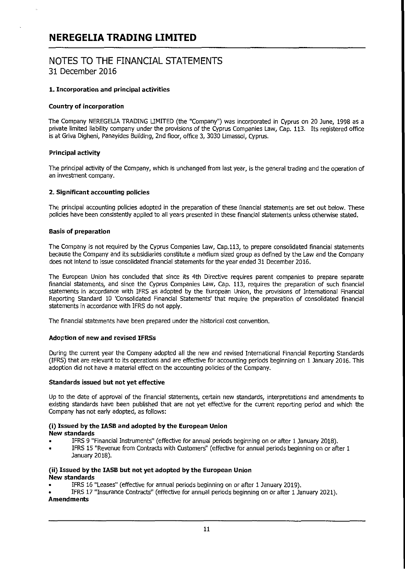### NOTES TO THE FINANCIAL STATEMENTS 31 December 2016

#### 1. Incorporation and principal activities

#### Country of incorporation

The Company NEREGELIA TRADING LIMITED (the "Company") was incorporated in Cyprus on 20 June, 1998 as a private limited liability company under the provisions of the Cyprus Companies Law, Cap. 113. Its registered office is at Griva Digheni, Panayides Building, 2nd floor, office 3, 3030 Umassol, Cyprus.

#### Principal activity

The principal activity of the Company, which is unchanged from last year, is the general trading and the operation of an investment company.

#### 2. Significant accounting policies

The principal accounting policies adopted in the preparation of these financial statements are set out below. These policies have been consistently applied to all years presented in these financial statements unless otherwise stated.

#### Basis of preparation

The Company is not required by the Cyprus Companies Law, Cap.113, to prepare consolidated financial statements because the Company and its subsidiaries constitute a medium sized group as defined by the Law and the Company does not intend to issue consolidated financial statements for the year ended 31 December 2016.

The European Union has concluded that since its 4th Directive requires parent companies to prepare separate financial statements, and since the Cyprus Companies Law, Cap. 113, requires the preparation of such financial statements in accordance with IFRS as adopted by the European Union, the provisions of International Financial Reporting Standard 10 'Consolidated Financial Statements' that require the preparation of consolidated financial statements in accordance with IFRS do not apply.

The financial statements have been prepared under the historical cost convention.

#### Adoption of new and revised IFRSs

During the current year the Company adopted all the new and revised International Financial Reporting Standards (IFRS) that are relevant to its operations and are effective for accounting periods beginning on 1 January 2016. This adoption did not have a material effect on the accounting policies of the Company.

#### Standards issued but not yet effective

Up to the date of approval of the financial statements, certain new standards, interpretations and amendments to existing standards have been published that are not yet effective for the current reporting period and which the Company has not early adopted, as follows:

### (i) **Issued** by the IASB and adopted by the European Union

New standards

- IFRS 9 "Financial Instruments" (effective for annual periods beginning on or after 1 January 2018).
- IFRS 15 "Revenue from Contracts with Customers" (effective for annual periods beginning on or after 1 January 2018).

#### (ii) Issued by the IASB but not yet adopted by the European Union New standards

- IFRS 16 "Leases" (effective for annual periods beginning on or after 1 January 2019).
- IFRS 17 "Insurance Contracts' (effective for annual periods beginning on or after 1 January 2021). Amendments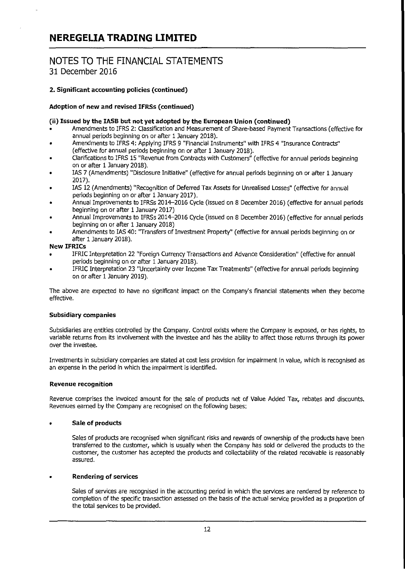## NOTES TO THE FINANCIAL STATEMENTS 31 December 2016

#### 2. Significant accounting policies (continued)

#### Adoption of new and revised IFRSs (continued)

#### (ii) Issued by the lASS but not yet adopted by the European Union (continued)

- Amendments to IFRS 2: classification and Measurement of Share-based Payment Transactions (effective for annual periods beginning on or after 1 January 2018).
- Amendments to IFRS 4: Applying IFRS 9 "Financial Instruments" with IFRS 4 "Insurance Contracts" (effective for annual periods beginning on or after 1 January 2018).
- Clarifications to IFRS 15 'Revenue from Contracts with Customers' (effective for annual periods beginning on or after 1 January 2018),
- lAS 7 (Amendments) "Disclosure Initiative" (effective for annual periods beginning on or after 1 January 2017).
- lAS 12 (Amendments) "Recognition of Deferred Tax Assets for Unrealised Losses" (effective for annual periods beginning on or after 1 January 2017).
- Annual Improvements to IFRSs 2014-2016 Cycle (issued on 8 December 2016) (effective for annual periods beginning on or after 1 January 2017)
- Annual Improvements to IFRSs 2014-2016 Cycle (issued on 8 December 2016) (effective for annual periods beginning on or after 1 January 2018)
- Amendments to lAS 40: 'Transfers of Investment Property" (effective for annual periods beginning on or after 1 January 2018),

#### New IFRICs

- IFRIC Interpretation 22 "Foreign Currency Transactions and Advance Consideration" (effective for annual periods beginning on or after 1 January 2018).
- IFRIC Interpretation 23 "Uncertainty over Income Tax Treatments" (effective for annual periods beginning on or after 1 January 2019).

The above are expected to have no significant impact on the Company's financial statements when they become effective.

#### Subsidiary companies

Subsidiaries are entities controlled by the Company. Control exists where the Company is exposed, or has rights, to variable returns from its involvement with the investee and has the ability to affect those returns through its power over the investee.

Investments in subsidiary companies are stated at cost less provision for impairment in value, which is recognised as an expense in the period in which the impairment is identified.

#### Revenue recognition

Revenue comprises the invoiced amount for the sale of products net of Value Added Tax, rebates and discounts. Revenues earned by the Company are recognised on the following bases:

#### Sale of products

Sales of products are recognised when significant risks and rewards of ownership of the products have been transferred to the customer, which is usually when the Company has sold or delivered the products to the customer, the customer has accepted the products and collectability of the related receivable is reasonably assured.

#### Rendering of services

Sales of services are recognised in the accounting period in which the services are rendered by reference to completion of the specific transaction assessed on the basis of the actual service provided as a proportion of the total services to be provided.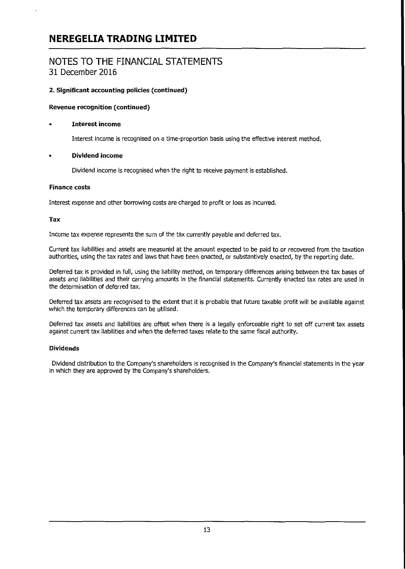### NOTES TO THE FINANCIAL STATEMENTS 31 December 2016

#### 2. Significant accounting policies (continued)

#### Revenue recognition (continued)

#### Interest income

Interest income is recognised on a time-proportion basis using the effective interest method.

#### • Dividend income

Dividend income is recognised when the right to receive payment is established.

#### Finance costs

Interest expense and other borrowing costs are charged to profit or loss as incurred.

#### **Tax**

Income tax expense represents the sum of the tax currently payable and deferred tax.

Current tax liabilities and assets are measured at the amount expected to be paid to or recovered from the taxation authorities, using the tax rates and laws that have been enacted, or substantively enacted, by the reporting date.

Deferred tax is provided in full, using the liability method, on temporary differences arising between the tax bases of assets and liabilities and their carrying amounts in the financial statements. currently enacted tax rates are used in the determination of deferred tax.

Deferred tax assets are recognised to the extent that it is probable that future taxable profit will be available against which the temporary differences can be utilised.

Deferred tax assets and liabilities are offset when there is a legally enforceable right to set off current tax assets against current tax liabilities and when the deferred taxes relate to the same fiscal authority.

#### Dividends

Dividend distribution to the company's shareholders is recognised in the company's financial statements in the year in which they are approved by the company's shareholders.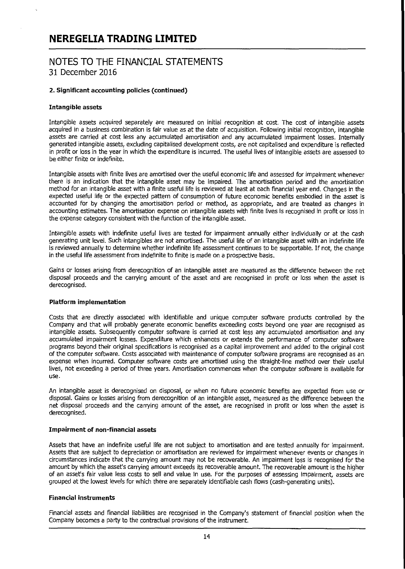### NOTES TO THE FINANCIAL STATEMENTS 31 December 2016

#### 2. Significant accounting policies (continued)

#### Intangible assets

Intangible assets acquired separately are measured on initial recognition at cost The cost of intangible assets acquired in a business combination is fair value as at the date of acquisition. Following initial recognition, intangible assets are carried at cost less any accumulated amortisation and any accumulated impairment losses. Internally generated intangible assets, excluding capitalised development costs, are not capitalised and expenditure is reflected in profit or loss in the year in which the expenditure is incurred. The useful lives of intangible assets are assessed to be either finite or indefinite.

Intangible assets with finite lives are amortised over the useful economic life and assessed for impairment whenever there is an indication that the intangible asset may be impaired. The amortisation period and the amortisation method for an intangible asset with a finite useful life is reviewed at least at each financial year end. changes in the expected useful life or the expected pattern of consumption of future economic benefits embodied in the asset is accounted for by changing the amortisation period or method, as appropriate, and are treated as changes in accounting estimates. The amortisation expense on intangible assets with finite lives is recognised in profit or loss in the expense category consistent with the function of the intangible asset.

Intangible assets with indefinite useful lives are tested for impairment annually either individually or at the cash generating unit level. Such intangibles are not amortised. The useful life of an intangible asset with an indefinite life is reviewed annually to determine whether indefinite life assessment continues to be supportable. If not, the change in the useful life assessment from indefinite to finite is made on a prospective basis.

Gains or losses arising from derecognition of an intangible asset are measured as the difference between the net disposal proceeds and the carrying amount of the asset and are recognised in profit or loss when the asset is derecognised.

#### Platform implementation

Costs that are directly associated with identifiable and unique computer software products controlled by the Company and that will probably generate economic benefits exceeding costs beyond one year are recognised as intangible assets. Subsequently computer software is carried at cost less any accumulated amortisation and any accumulated impairment losses. Expenditure which enhances or extends the performance of computer software programs beyond their original specifications is recognised as a capital improvement and added to the original cost of the computer software. Costs associated with maintenance of computer software programs are recognised as an expense when incurred. Computer software costs are amortised using the straight-line method over their useful lives, not exceeding a period of three years. Amortisation commences when the computer software is available for use.

An intangible asset is derecognised on disposal, or when no future economic benefits are expected from use or disposal. Gains or losses arising from derecognition of an intangible asset, measured as the difference between the net disposal proceeds and the carrying amount of the asset, are recognised in profit or loss when the asset is derecognised.

#### Impairment of non-financial assets

Assets that have an indefinite useful life are not subject to amortisation and are tested annually for impairment. Assets that are subject to depreciation or amortisation are reviewed for impairment whenever events or changes in circumstances indicate that the carrying amount may not be recoverable. An impairment loss is recognised for the amount by which the asset's carrying amount exceeds its recoverable amount. The recoverable amount is the higher of an asset's fair value less costs to sell and value in use. For the purposes of assessing impairment, assets are grouped at the lowest levels for which there are separately identifiable cash flows (cash-generating units).

#### Financial instruments

Financial assets and financial liabilities are recognised in the Company's statement of financial position when the Company becomes a party to the contractual provisions of the instrument.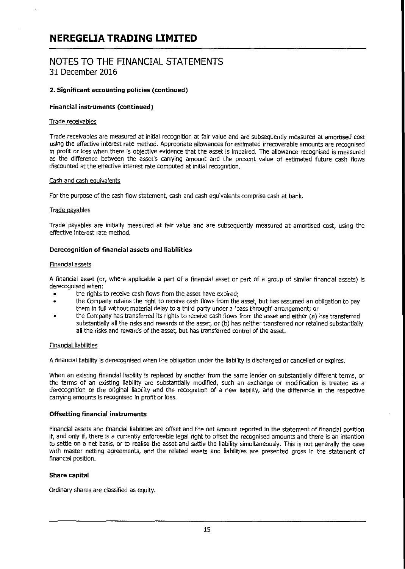### NOTES TO THE FINANCIAL STATEMENTS 31 December 2016

#### 2. Significant accounting policies (continued)

#### Financial instruments (continued)

#### Trade receivables

Trade receivables are measured at initial recognition at fair value and are subsequently measured at amortised cost using the effective interest rate method. Appropriate allowances for estimated irrecoverable amounts are recognised in profit or loss when there is objective evidence that the asset is impaired. The allowance recognised is measured as the difference between the asset's carrying amount and the present value of estimated future cash flows discounted at the effective interest rate computed at initial recognition.

#### Cash and cash eauivalents

For the purpose of the cash flow statement, cash and cash equivalents comprise cash at bank.

#### Trade oayables

Trade payables are initially measured at fair value and are subsequently measured at amortised cost, using the effective interest rate method.

#### Derecognition of financial assets and liabilities

#### Financial assets

A financial asset (or, where applicable a part of a financial asset or part of a group of similar financial assets) is derecognised when:

- the rights to receive cash flows from the asset have expired;
- the Company retains the right to receive cash flows from the asset, but has assumed an obligation to pay them in full without material delay to a third party under a 'pass through' arrangement; or
- the Company has transferred its rights to receive cash flows from the asset and either (a) has transferred substantially all the risks and rewards of the asset, or (b) has neither transferred nor retained substantially all the risks and rewards of the asset, but has transferred control of the asset.

#### Financial liabilities

A financial liability is derecognised when the obligation under the liability is discharged or cancelled or expires.

When an existing financial liability is replaced by another from the same lender on substantially different terms, or the terms of an existing liability are substantially modified, such an exchange or modification is treated as a derecognition of the original liability and the recognition of a new liability, and the difference in the respective carrying amounts is recognised in profit or loss.

#### Offsetting financial instruments

Financial assets and financial liabilities are offset and the net amount reported in the statement of financial position if, and only if, there is a currently enforceable legal right to offset the recognised amounts and there is an intention to settle on a net basis, or to realise the asset and settle the liability simultaneously. This is not generally the case with master netting agreements, and the related assets and liabilities are presented gross in the statement of financial position.

#### Share capital

Ordinary shares are classified as equity.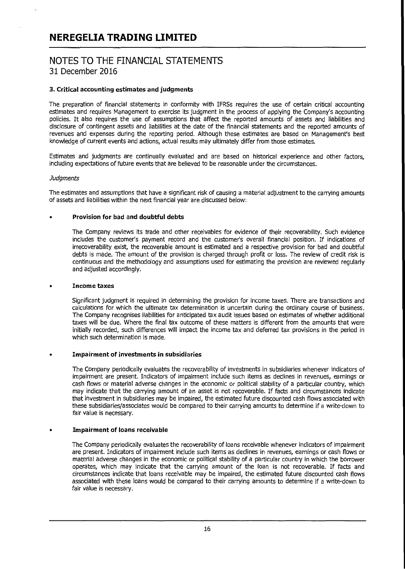## NOTES TO THE FINANCIAL STATEMENTS 31 December 2016

#### 3. Critical accounting estimates and judgments

The preparation of financial statements in conformity with IFRSs requires the use of certain critical accounting estimates and requires Management to exercise its judgment in the process of applying the Company's accounting policies. It also requires the use of assumptions that affect the reported amounts of assets and liabilities and disclosure of contingent assets and liabilities at the date of the financial statements and the reported amounts of revenues and expenses during the reporting period. Although these estimates are based on Management's best knowledge of current events and actions, actual results may ultimately differ from those estimates.

Estimates and judgments are continually evaluated and are based on historical experience and other factors, including expectations of future events that are believed to be reasonable under the circumstances.

#### **Judaments**

The estimates and assumptions that have a significant risk of causing a material adjustment to the carrying amounts of assets and liabilities within the next financial year are discussed below:

#### Provision for bad and doubtful debts

The Company reviews its trade and other receivables for evidence of their recoverability. Such evidence includes the customer's payment record and the customer's overall financial position. If indications of irrecoverability exist, the recoverable amount is estimated and a respective provision for bad and doubtful debts is made. The amount of the provision is charged through profit or loss. The review of credit risk is continuous and the methodology and assumptions used for estimating the provision are reviewed regularly and adjusted accordingly.

#### • Income taxes

Significant judgment is required in determining the provision for income taxes. There are transactions and calculations for which the ultimate tax determination is uncertain during the ordinary course of business. The Company recognises liabilities for anticipated tax audit issues based on estimates of whether additional taxes will be due. Where the final tax outcome of these matters is different from the amounts that were initially recorded, such differences will impact the income tax and deferred tax provisions in the period in which such determination is made.

#### Impairment of investments in subsidiaries

The company periodically evaluates the recoverability of investments in subsidiaries whenever indicators of impairment are present. Indicators of impairment include such items as declines in revenues, earnings or cash flows or material adverse changes in the economic or political stability of a particular country, which may indicate that the carrying amount of an asset is not recoverable. If facts and circumstances indicate that investment in subsidiaries may be impaired, the estimated future discounted cash flows associated with these subsidiaries/associates would be compared to their carrying amounts to determine if a write-down to fair value is necessary.

#### Impairment of loans receivable

The Company periodically evaluates the recoverability of loans receivable whenever indicators of impairment are present. Indicators of impairment include such items as declines in revenues, earnings or cash flows or material adverse changes in the economic or political stability of a particular country in which the borrower operates, which may indicate that the carrying amount of the loan is not recoverable. If facts and circumstances indicate that loans receivable may be impaired, the estimated future discounted cash flows associated with these loans would be compared to their carrying amounts to determine if a write-down to fair value is necessary.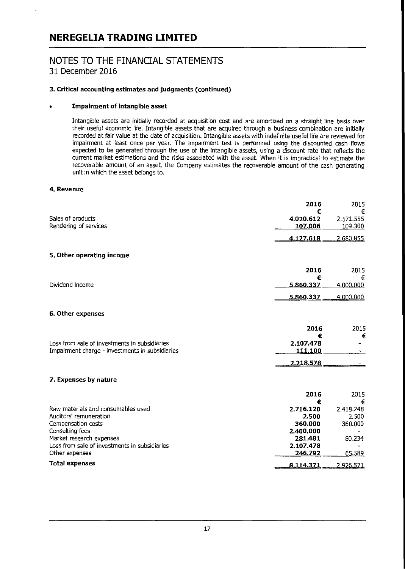## NOTES TO THE FINANCIAL STATEMENTS 31 December 2016

#### 3. Critical accounting estimates and judgments (continued)

#### Impairment of intangible asset

Intangible assets are initially recorded at acquisition cost and are amortized on a straight line basis over their useful economic life. Intangible assets that are acquired through a business combination are initially recorded at fair value at the date of acquisition. Intangible assets with indefinite useful life are reviewed for impairment at least once per year. The impairment test is performed using the discounted cash flows expected to be generated through the use of the intangible assets, using a discount rate that reflects the current market estimations and the risks associated with the asset. When it is impractical to estimate the recoverable amount of an asset, the company estimates the recoverable amount of the cash generating unit in which the asset belongs to.

#### 4. Revenue

|                                                                                                  | 2016                      | 2015                      |
|--------------------------------------------------------------------------------------------------|---------------------------|---------------------------|
| Sales of products<br>Rendering of services                                                       | €<br>4.020.612<br>107.006 | €<br>2.571.555<br>109.300 |
|                                                                                                  | 4.127.618                 | 2.680.855                 |
| 5. Other operating income                                                                        |                           |                           |
|                                                                                                  | 2016                      | 2015                      |
| Dividend income                                                                                  | €<br>5.860.337            | €<br>4.000.000            |
|                                                                                                  | 5.860.337                 | 4.000.000                 |
| 6. Other expenses                                                                                |                           |                           |
|                                                                                                  | 2016<br>€                 | 2015<br>€                 |
| Loss from sale of investments in subsidiaries<br>Impairment charge - investments in subsidiaries | 2.107.478<br>111.100      |                           |
|                                                                                                  | 2.218.578                 |                           |
| 7. Expenses by nature                                                                            |                           |                           |
|                                                                                                  | 2016<br>€                 | 2015<br>€                 |
| Raw materials and consumables used<br>Auditors' remuneration                                     | 2.716.120<br>2.500        | 2.418.248<br>2.500        |
| Compensation costs<br>Consulting fees                                                            | 360,000<br>2.400.000      | 360.000                   |
| Market research expenses<br>Loss from sale of investments in subsidiaries                        | 281.481<br>2.107.478      | 80.234                    |
| Other expenses<br><b>Total expenses</b>                                                          | 246.792                   | 65.589                    |
|                                                                                                  | 8.114.371                 | <u>2.926.571</u>          |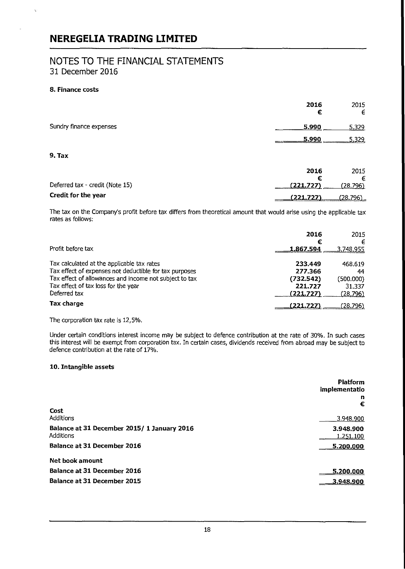### NOTES TO THE FINANCIAL STATEMENTS 31 December 2016

#### 8. Finance costs

 $\zeta$ 

|                                 | 2016<br>€      | 2015<br>€     |
|---------------------------------|----------------|---------------|
| Sundry finance expenses         | 5.990          | 5,329         |
|                                 | 5.990          | 5.329         |
| 9. Tax                          |                |               |
|                                 | 2016           | 2015          |
| Deferred tax - credit (Note 15) | €<br>(221.727) | €<br>(28.796) |
| Credit for the year             | (221.727)      | (28.796)      |

The tax on the company's profit before tax differs from theoretical amount that would arise using the applicable tax rates as follows:

|                                                                                                                                                                                                                       | 2016<br>€                                               | 2015<br>€                                               |
|-----------------------------------------------------------------------------------------------------------------------------------------------------------------------------------------------------------------------|---------------------------------------------------------|---------------------------------------------------------|
| Profit before tax                                                                                                                                                                                                     | <u>1.867.594</u>                                        | <u>3.748.955</u>                                        |
| Tax calculated at the applicable tax rates<br>Tax effect of expenses not deductible for tax purposes<br>Tax effect of allowances and income not subject to tax<br>Tax effect of tax loss for the year<br>Deferred tax | 233.449<br>277.366<br>(732.542)<br>221.727<br>(221.727) | 468.619<br>44<br>(500.000)<br>31.337<br><u>(28.796)</u> |
| Tax charge                                                                                                                                                                                                            | (221.727)                                               | (28.796)                                                |

The corporation tax rate is 12,5%.

Under certain conditions interest income may be subject to defence contribution at the rate of 30%. In such cases this interest will be exempt from corporation tax. In certain cases, dividends received from abroad may be subject to defence contribution at the rate of 17%.

#### 10. Intangible assets

|                                                          | <b>Platform</b><br>implementatio<br>n<br>€ |
|----------------------------------------------------------|--------------------------------------------|
| Cost<br>Additions                                        | 3.948.900                                  |
|                                                          |                                            |
| Balance at 31 December 2015/ 1 January 2016<br>Additions | 3.948.900<br>1.251.100                     |
| Balance at 31 December 2016                              | 5.200,000                                  |
| <b>Net book amount</b>                                   |                                            |
| Balance at 31 December 2016                              | 5.200.000                                  |
| <b>Balance at 31 December 2015</b>                       | 3.948.900                                  |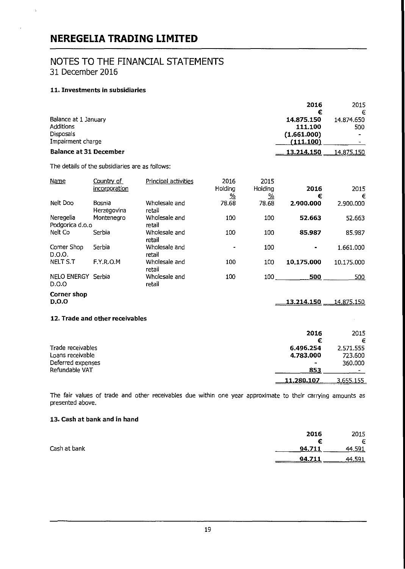## NOTES TO THE FINANCIAL STATEMENTS 31 December 2016

#### 11. Investments in subsidiaries

t,

|                               | 2016        | 2015           |
|-------------------------------|-------------|----------------|
|                               |             | €              |
| Balance at 1 January          | 14.875.150  | 14.874.650     |
| <b>Additions</b>              | 111.100     | 500            |
| Disposals                     | (1.661.000) | $\blacksquare$ |
| Impairment charge             | (111.100)   |                |
| <b>Balance at 31 December</b> | 13.214.150  | 14.875.150     |

The details of the subsidiaries are as follows:

| <b>Name</b>                  | Country of<br>incorporation | Principal activities    | 2016<br>Holding<br>ஊ | 2015<br>Holding<br><u>%</u> | 2016<br>€      | 2015<br>€         |
|------------------------------|-----------------------------|-------------------------|----------------------|-----------------------------|----------------|-------------------|
| Nelt Doo                     | Bosnia<br>Herzegovina       | Wholesale and<br>retail | 78.68                | 78.68                       | 2.900.000      | 2.900.000         |
| Neregelia<br>Podgorica d.o.o | Montenegro                  | Wholesale and<br>retail | 100                  | 100                         | 52.663         | 52.663            |
| Nelt Co                      | Serbia                      | Wholesale and<br>retail | 100                  | 100                         | 85,987         | 85.987            |
| Corner Shop<br>D.O.O.        | Serbia                      | Wholesale and<br>retail |                      | 100                         | $\blacksquare$ | 1.661.000         |
| NELT S.T                     | F.Y.R.O.M                   | Wholesale and<br>retail | 100                  | 100                         | 10.175.000     | 10.175.000        |
| NELO ENERGY Serbia<br>D.O.O  |                             | Wholesale and<br>retail | 100                  | 100 —                       | 500            | <u>500</u>        |
| Corner shop<br><b>D.O.O</b>  |                             |                         |                      |                             | 13.214.150     | <u>14.875.150</u> |
|                              | .                           |                         |                      |                             |                |                   |

### 12. Trade and other receivables

|                   | 2016       | 2015                     |
|-------------------|------------|--------------------------|
|                   | €          | €                        |
| Trade receivables | 6.496.254  | 2.571.555                |
| Loans receivable  | 4.783.000  | 723.600                  |
| Deferred expenses | ٠          | 360,000                  |
| Refundable VAT    | 853        | $\overline{\phantom{a}}$ |
|                   | 11.280.107 | 3.655.155                |

The fair values of trade and other receivables due within one year approximate to their carrying amounts as presented above.

#### **13. Cash at** bank and in hand

|              | 2016<br>2015            |   |
|--------------|-------------------------|---|
|              |                         | € |
| Cash at bank | 94.711<br>44.591        |   |
|              | 44.591<br><u>94.711</u> |   |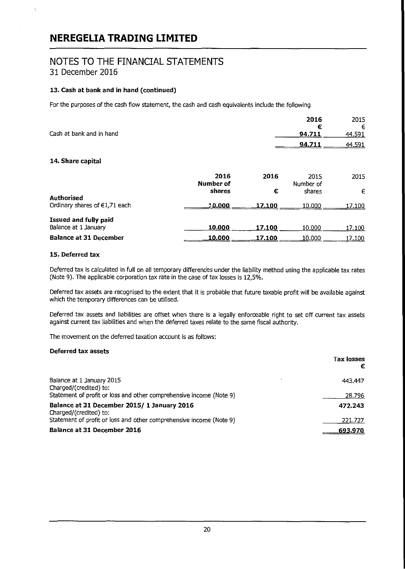### NOTES TO THE FINANCIAL STATEMENTS 31 December 2016

#### 13. Cash at bank and in hand (continued)

For the purposes of the cash flow statement, the cash and cash equivalents include the following

|                               |                   |        | 2016<br>€         | 2015<br>€ |
|-------------------------------|-------------------|--------|-------------------|-----------|
| Cash at bank and in hand      |                   |        | 94.711            | 44.591    |
|                               |                   |        | 94.711            | 44.591    |
| 14. Share capital             |                   |        |                   |           |
|                               | 2016<br>Number of | 2016   | 2015<br>Number of | 2015      |
|                               | shares            | €      | shares            | €         |
| Authorised                    |                   |        |                   |           |
| Ordinary shares of €1,71 each | 10.000            | 17.100 | 10.000            | 17.100    |
| Issued and fully paid         |                   |        |                   |           |
| Balance at 1 January          | 10.000            | 17.100 | 10.000            | 17.100    |
| <b>Balance at 31 December</b> | 10,000            | 17.100 | 10.000            | 17.100    |

#### 15. Deferred tax

Ą,

Deferred tax is calculated in full on all temporary differences under the liability method using the applicable tax rates (Note 9). The applicable corporation tax rate in the case of tax losses is 12,5%.

Deferred tax assets are recognised to the extent that it is probable that future taxable profit will be available against which the temporary differences can be utilised.

Deferred tax assets and liabilities are offset when there is a legally enforceable right to set off current tax assets against current tax liabilities and when the deferred taxes relate to the same fiscal authority.

The movement on the deferred taxation account is as follows:

#### Deferred tax assets

|                                                                       | Tax losses<br>€ |
|-----------------------------------------------------------------------|-----------------|
| Balance at 1 January 2015<br>Charged/(credited) to:                   | 443.447         |
| Statement of profit or loss and other comprehensive income (Note 9)   | 28.796          |
| Balance at 31 December 2015/ 1 January 2016<br>Charged/(credited) to: | 472.243         |
| Statement of profit or loss and other comprehensive income (Note 9)   | 221.727         |
| Balance at 31 December 2016                                           | 693.970         |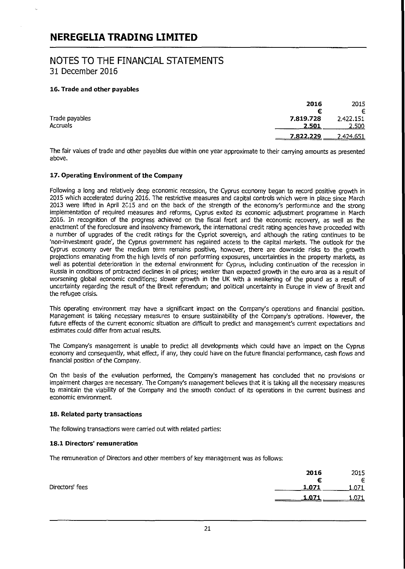### NOTES TO THE FINANCIAL STATEMENTS 31 December 2016

#### 16. Trade and other payables

|                | 2016                   | 2015  |
|----------------|------------------------|-------|
|                | €                      | €     |
| Trade payables | 7.819.728<br>2.422.151 |       |
| Accruals       | 2.501                  | 2.500 |
|                | 7822.229<br>2.424.651  |       |

The fair values of trade and other payables due within one year approximate to their carrying amounts as presented above.

#### 17. Operating Environment of the Company

Following a long and relatively deep economic recession, the Cyprus economy began to record positive growth in 2015 which accelerated during 2016. The restrictive measures and capital controls which were in place since March 2013 were lifted in April 2015 and on the back of the strength of the economy's performance and the strong implementation of required measures and reforms, Cyprus exited its economic adjustment programme in March 2016. In recognition of the progress achieved on the fiscal front and the economic recovery, as well as the enactment of the foreclosure and insolvency framework, the international credit rating agencies have proceeded with a number of upgrades of the credit ratings for the Cypriot sovereign, and although the rating continues to be 'non-investment grade', the Cyprus government has regained access to the capital markets. The outlook for the Cyprus economy over the medium term remains positive, however, there are downside risks to the growth projections emanating from the high levels of non performing exposures, uncertainties in the property markets, as well as potential deterioration in the external environment for Cyprus, including continuation of the recession in Russia in conditions of protracted declines in oil prices; weaker than expected growth in the euro area as a result of worsening global economic conditions; slower growth in the UK with a weakening of the pound as a result of uncertainty regarding the result of the Brexit referendum; and political uncertainty in Europe in view of Brexit and the refugee crisis.

This operating environment may have a significant impact on the Company's operations and financial position. Management is taking necessary measures to ensure sustainability of the Company's operations. However, the future effects of the current economic situation are difficult to predict and management's current expectations and estimates could differ from actual results.

The Company's management is unable to predict all developments which could have an impact on the Cyprus economy and consequently, what effect, if any, they could have on the future financial performance, cash flows and financial position of the Company.

On the basis of the evaluation performed, the Company's management has concluded that no provisions or impairment charges are necessary. The Company's management believes that it is taking all the necessary measures to maintain the viability of the Company and the smooth conduct of its operations in the current business and economic environment.

#### 18. Related party transactions

The following transactions were carried out with related parties:

#### 18.1 Directors' remuneration

The remuneration of Directors and other members of key management was as follows:

|                 | 2016<br>2015   |
|-----------------|----------------|
|                 | €<br>€         |
| Directors' fees | 1.071<br>1.071 |
|                 | .071           |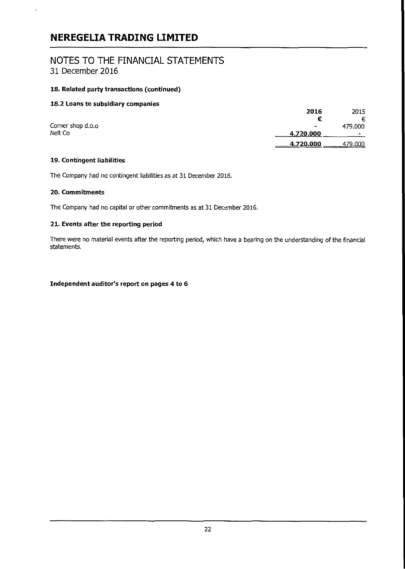### NOTES TO THE FINANCIAL STATEMENTS 31 December 2016

#### 18. Related party transactions (continued)

#### 18.2 Loans to subsidiary companies

|                   | 2016           | 2015           |
|-------------------|----------------|----------------|
|                   | €              | €              |
| Corner shop d.o.o | $\blacksquare$ | 479.000        |
| Nelt Co           | 4.720.000      | $\blacksquare$ |
|                   | 4.720.000      | 479.000        |

#### 19. Contingent liabilities

The Company had no contingent liabilities as at 31 December 2016.

#### 20. Commitments

The Company had no capital or other commitments as at 31 December 2016.

#### 21. Events after **the** reporting period

There were no material events after the reporting period, which have a bearing on the understanding of the financial statements.

#### Independent auditor's report on pages 4 to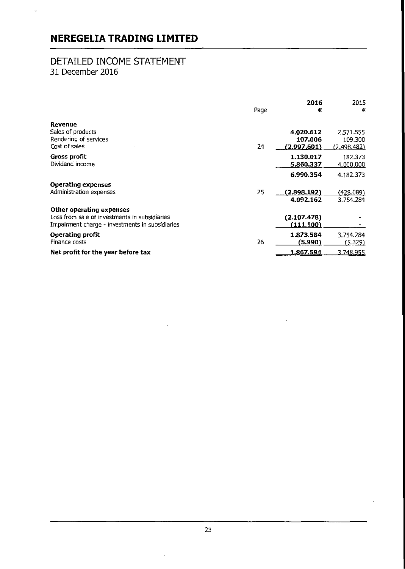## DETAILED INCOME STATEMENT 31 December 2016

l.

|                                                                                                                              | Page | 2016<br>€                             | 2015<br>€                                  |
|------------------------------------------------------------------------------------------------------------------------------|------|---------------------------------------|--------------------------------------------|
| Revenue<br>Sales of products<br>Rendering of services<br>Cost of sales                                                       | 24   | 4.020.612<br>107.006<br>(2,997.601)   | 2.571.555<br>109.300<br>(2.498.482)        |
| Gross profit<br>Dividend income                                                                                              |      | 1.130.017<br>5.860.337                | 182.373<br>4.000.000                       |
| <b>Operating expenses</b><br>Administration expenses                                                                         | 25   | 6.990.354<br>(2.898.192)<br>4.092.162 | 4.182.373<br><u>(428.089)</u><br>3.754.284 |
| Other operating expenses<br>Loss from sale of investments in subsidiaries<br>Impairment charge - investments in subsidiaries |      | (2.107.478)<br>(111.100)              |                                            |
| <b>Operating profit</b><br>Finance costs                                                                                     | 26   | 1.873.584<br>(5.990)                  | 3.754.284<br>(5.329)                       |
| Net profit for the year before tax                                                                                           |      | 1.867.594                             | 3,748.955                                  |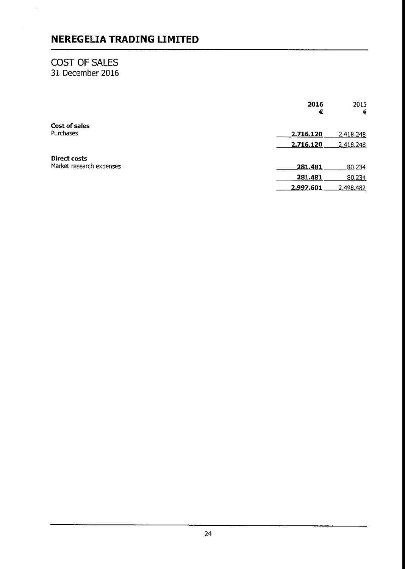## COST OF SALES 31 December 2016

 $\hat{\mathcal{E}}_1$ 

|                          | 2016<br>€      | 2015<br>€ |
|--------------------------|----------------|-----------|
| Cost of sales            |                |           |
| Purchases                | 2.716.120      | 2.418.248 |
|                          | 2.716.120      | 2.418.248 |
| Direct costs             |                |           |
| Market research expenses | 281.481        | 80.234    |
|                          | <u>281.481</u> | 80.234    |
|                          | 2.997.601      | 2.498.482 |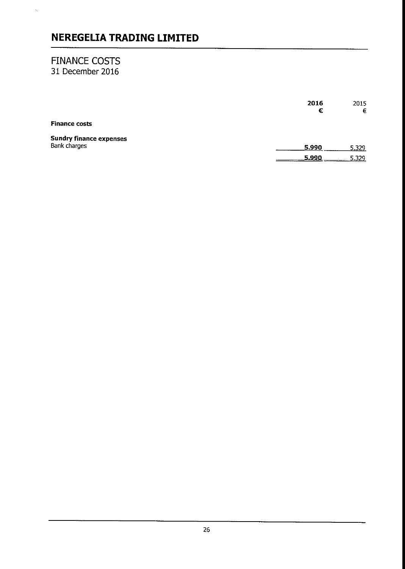### FINANCE COSTS 31 December 2016

 $\hat{b}_{\mathbf{k}}$ 

|                                | 2016<br>€    | 2015<br>€ |
|--------------------------------|--------------|-----------|
| <b>Finance costs</b>           |              |           |
| <b>Sundry finance expenses</b> |              |           |
| <b>Bank charges</b>            | 5.990        | 5.329     |
|                                | <u>5.990</u> | 5.329     |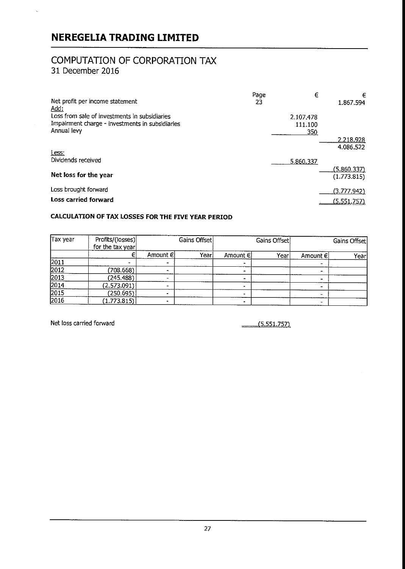## COMPUTATION OF CORPORATION TAX 31 December 2016

| Net profit per income statement<br>Add:                                                          | Page<br>23 | €                    | €<br>1.867.594         |
|--------------------------------------------------------------------------------------------------|------------|----------------------|------------------------|
| Loss from sale of investments in subsidiaries<br>Impairment charge - investments in subsidiaries |            | 2.107.478<br>111.100 |                        |
| Annual levy                                                                                      |            | 350                  | 2.218.928<br>4.086.522 |
| Less:<br>Dividends received                                                                      |            | 5.860.337            | (5.860.337)            |
| Net loss for the year                                                                            |            |                      | (1.773.815)            |
| Loss brought forward                                                                             |            |                      | (3.777.942)            |
| <b>Loss carried forward</b>                                                                      |            |                      | <u>(5.551.757)</u>     |

### **CALCULATION OF TAX LOSSES FOR THE FIVE YEAR PERIOD**

| Tax year            | Profits/(losses)<br>for the tax year | Gains Offset |      | Gains Offset |      | Gains Offset   |       |
|---------------------|--------------------------------------|--------------|------|--------------|------|----------------|-------|
|                     |                                      | Amount €l    | Year | Amount €     | Year | Amount €l      | Yearl |
|                     |                                      |              |      |              |      |                |       |
| $\frac{2011}{2012}$ | (708.668)                            |              |      |              |      |                |       |
| 2013                | (245.488)                            |              |      |              |      | $\blacksquare$ |       |
| [2014]              | (2.573.091)                          |              |      |              |      |                |       |
| 2015                | (250.695)                            |              |      |              |      |                |       |
| 2016                | (1.773.815)                          |              |      |              |      |                |       |

Net loss carried forward and the control of the control of the control of the control of the control of the control of the control of the control of the control of the control of the control of the control of the control o